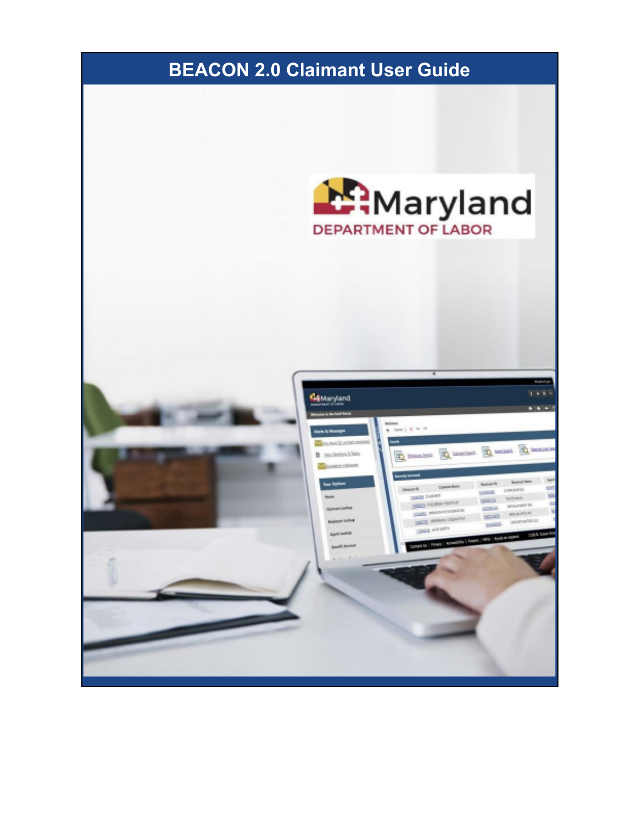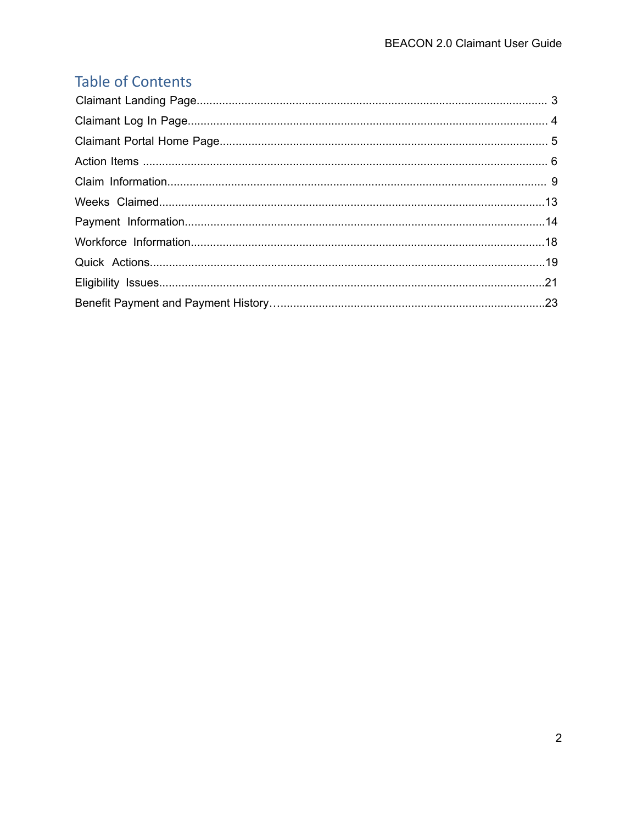## **Table of Contents**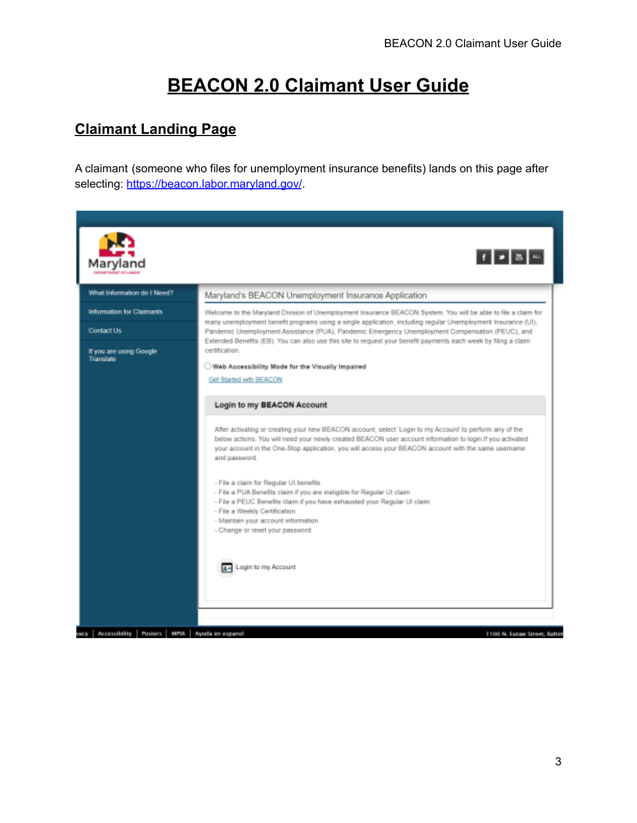# **BEACON 2.0 Claimant User Guide**

## **Claimant Landing Page**

A claimant (someone who files for unemployment insurance benefits) lands on this page after selecting: https://beacon.labor.maryland.gov/.

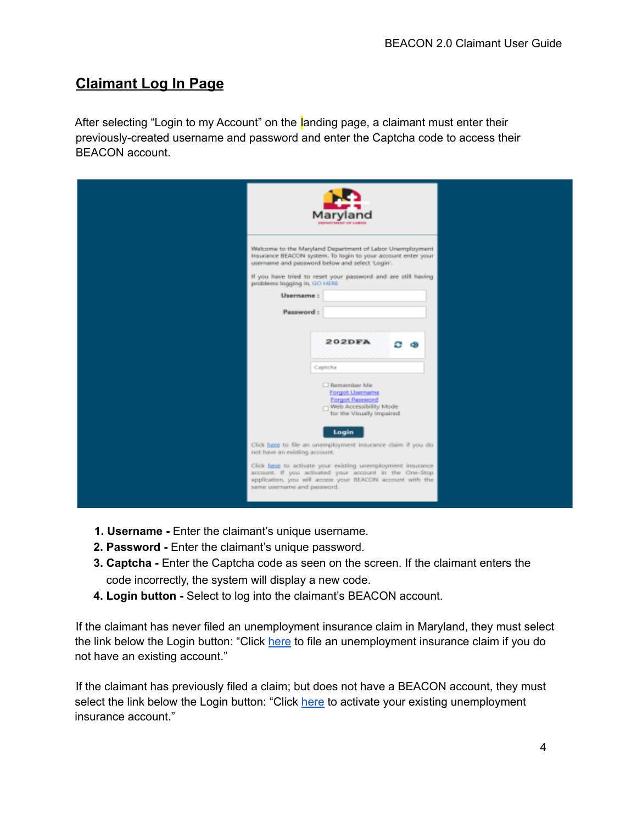## **Claimant Log In Page**

After selecting "Login to my Account" on the landing page, a claimant must enter their previously-created username and password and enter the Captcha code to access their BEACON account.

- **1. Username -** Enter the claimant's unique username.
- **2. Password -** Enter the claimant's unique password.
- **3. Captcha -** Enter the Captcha code as seen on the screen. If the claimant enters the code incorrectly, the system will display a new code.
- **4. Login button -** Select to log into the claimant's BEACON account.

If the claimant has never filed an unemployment insurance claim in Maryland, they must select the link below the Login button: "Click here to file an unemployment insurance claim if you do not have an existing account."

If the claimant has previously filed a claim; but does not have a BEACON account, they must select the link below the Login button: "Click here to activate your existing unemployment insurance account."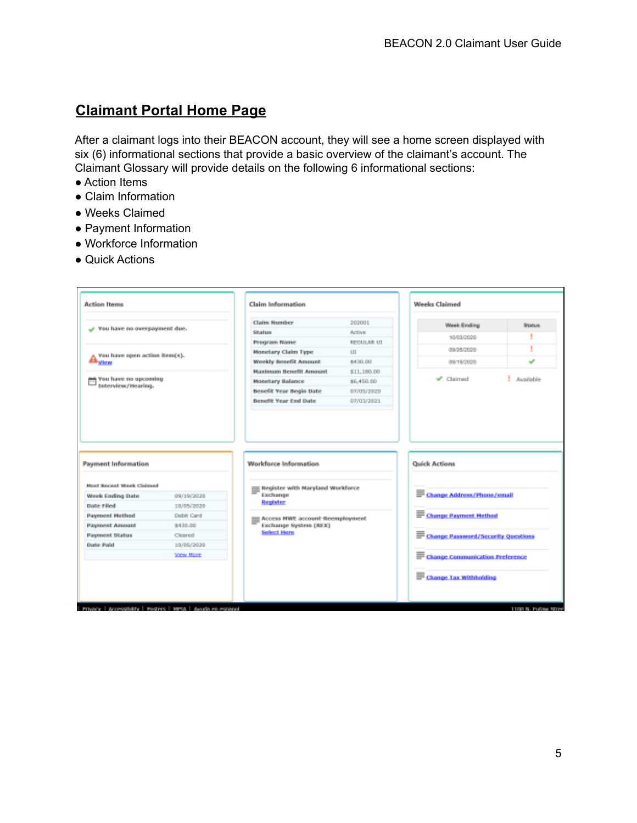## **Claimant Portal Home Page**

After a claimant logs into their BEACON account, they will see a home screen displayed with six (6) informational sections that provide a basic overview of the claimant's account. The Claimant Glossary will provide details on the following 6 informational sections:

- Action Items
- Claim Information
- Weeks Claimed
- Payment Information
- Workforce Information
- Quick Actions

| <b>Action Items</b>                                                                                                                                                            |                          | <b>Claim Information</b>                                  |               |                                    |              |
|--------------------------------------------------------------------------------------------------------------------------------------------------------------------------------|--------------------------|-----------------------------------------------------------|---------------|------------------------------------|--------------|
|                                                                                                                                                                                |                          | <b>Claim Number</b>                                       | 202001        | <b>Week Ending</b>                 | <b>SLMAN</b> |
| y You have no overpayment due.                                                                                                                                                 |                          | Status                                                    | <b>Active</b> | 10/03/2020                         |              |
|                                                                                                                                                                                |                          | Program Name                                              | REGULAR UT    |                                    |              |
| You have open action itera(s).                                                                                                                                                 |                          | <b>Monetary Claim Type</b>                                | U1            | 09/26/2020                         |              |
| <b>ALVIEW</b>                                                                                                                                                                  |                          | <b>Weekly Benefit Amount</b>                              | 8430.00       | 09/19/2020                         | ے            |
|                                                                                                                                                                                |                          | <b>Maximum Benefit Amount</b>                             | \$11,180.00   |                                    |              |
| You have no upcoming<br>Interview/Hearing.                                                                                                                                     |                          | <b>Monetary Balance</b>                                   | \$6,450.00    | Claimed                            | Available    |
|                                                                                                                                                                                |                          | <b>Benefit Year Begin Date</b>                            | 07/05/2020    |                                    |              |
|                                                                                                                                                                                |                          | <b>Benefit Year End Date</b>                              | 07/03/2021    |                                    |              |
| <b>Payment Information</b>                                                                                                                                                     |                          | <b>Worldorce Information</b>                              |               | <b>Quick Actions</b>               |              |
|                                                                                                                                                                                |                          |                                                           |               |                                    |              |
|                                                                                                                                                                                |                          | Register with Maryland Workforce<br>Exchange              |               |                                    |              |
|                                                                                                                                                                                | 09/19/2020<br>10/05/2020 | Register                                                  |               | Change Address/Phone/email         |              |
|                                                                                                                                                                                | Debit Card               |                                                           |               |                                    |              |
|                                                                                                                                                                                | \$430.00                 | Access HWE account-fleemployment<br>Exchange System (REX) |               | <u>E Change Payment Hethod</u>     |              |
|                                                                                                                                                                                | Cleared                  | <b>Select Here</b>                                        |               |                                    |              |
|                                                                                                                                                                                | 10/05/2020               |                                                           |               | Change Password/Security Questions |              |
| <b>Host Recent Week Claimed</b><br><b>Week Ending Date</b><br><b>Date Filed</b><br><b>Payment Hethod</b><br><b>Payment Amount</b><br><b>Payment Status</b><br><b>Date Paid</b> | <b>View Mare</b>         |                                                           |               |                                    |              |
|                                                                                                                                                                                |                          |                                                           |               | Change Communication Preference    |              |
|                                                                                                                                                                                |                          |                                                           |               | Change Tax Withholding             |              |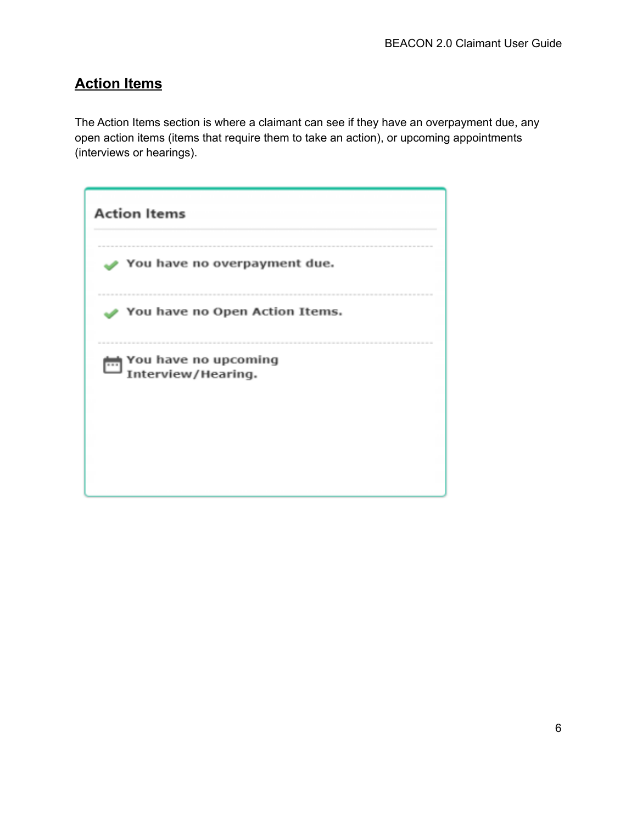## **Action Items**

The Action Items section is where a claimant can see if they have an overpayment due, any open action items (items that require them to take an action), or upcoming appointments (interviews or hearings).

| <b>Action Items</b>                        |
|--------------------------------------------|
| You have no overpayment due.               |
| You have no Open Action Items.             |
| You have no upcoming<br>Interview/Hearing. |
|                                            |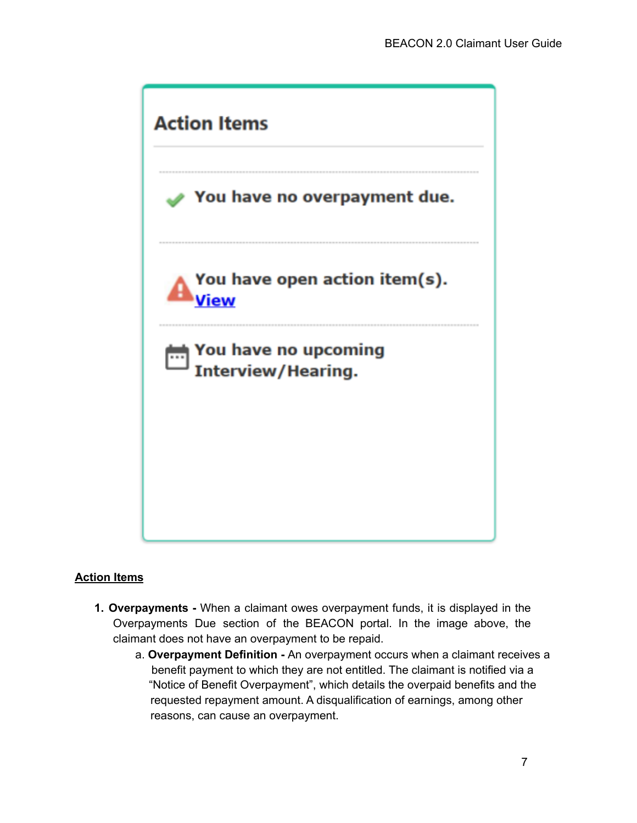

#### **Action Items**

- **1. Overpayments -** When a claimant owes overpayment funds, it is displayed in the Overpayments Due section of the BEACON portal. In the image above, the claimant does not have an overpayment to be repaid.
	- a. **Overpayment Definition -** An overpayment occurs when a claimant receives a benefit payment to which they are not entitled. The claimant is notified via a "Notice of Benefit Overpayment", which details the overpaid benefits and the requested repayment amount. A disqualification of earnings, among other reasons, can cause an overpayment.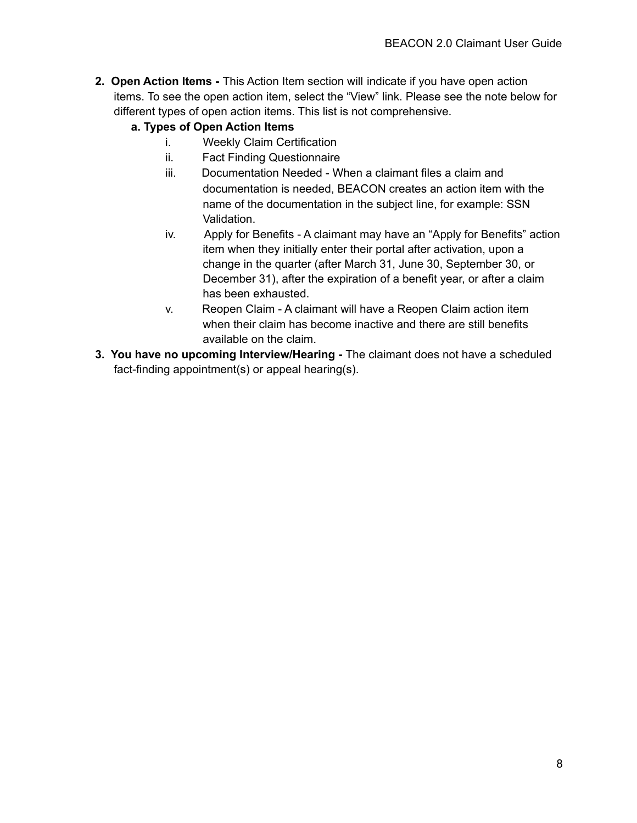**2. Open Action Items -** This Action Item section will indicate if you have open action items. To see the open action item, select the "View" link. Please see the note below for different types of open action items. This list is not comprehensive.

#### **a. Types of Open Action Items**

- i. Weekly Claim Certification
- ii. Fact Finding Questionnaire
- iii. Documentation Needed When a claimant files a claim and documentation is needed, BEACON creates an action item with the name of the documentation in the subject line, for example: SSN Validation.
- iv. Apply for Benefits A claimant may have an "Apply for Benefits" action item when they initially enter their portal after activation, upon a change in the quarter (after March 31, June 30, September 30, or December 31), after the expiration of a benefit year, or after a claim has been exhausted.
- v. Reopen Claim A claimant will have a Reopen Claim action item when their claim has become inactive and there are still benefits available on the claim.
- **3. You have no upcoming Interview/Hearing -** The claimant does not have a scheduled fact-finding appointment(s) or appeal hearing(s).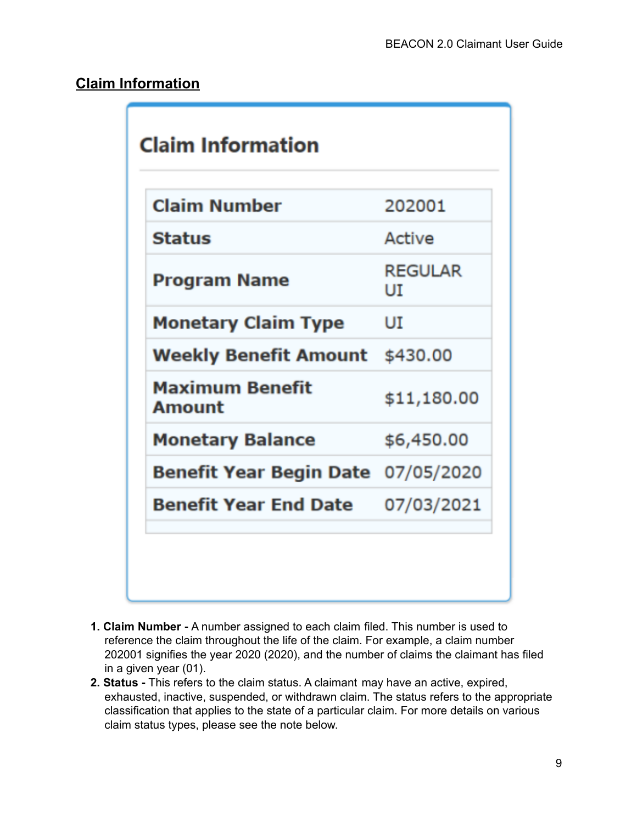## **Claim Information**

| <b>Claim Number</b>                       | 202001               |
|-------------------------------------------|----------------------|
| <b>Status</b>                             | Active               |
| Program Name                              | <b>REGULAR</b><br>UĪ |
| <b>Monetary Claim Type</b>                | UI                   |
| Weekly Benefit Amount                     | \$430.00             |
| <b>Maximum Benefit</b><br>Amount          | \$11,180.00          |
| <b>Monetary Balance</b>                   | \$6,450.00           |
| <b>Benefit Year Begin Date</b> 07/05/2020 |                      |
| <b>Benefit Year End Date</b>              | 07/03/2021           |

- **1. Claim Number -** A number assigned to each claim filed. This number is used to reference the claim throughout the life of the claim. For example, a claim number 202001 signifies the year 2020 (2020), and the number of claims the claimant has filed in a given year (01).
- **2. Status -** This refers to the claim status. A claimant may have an active, expired, exhausted, inactive, suspended, or withdrawn claim. The status refers to the appropriate classification that applies to the state of a particular claim. For more details on various claim status types, please see the note below.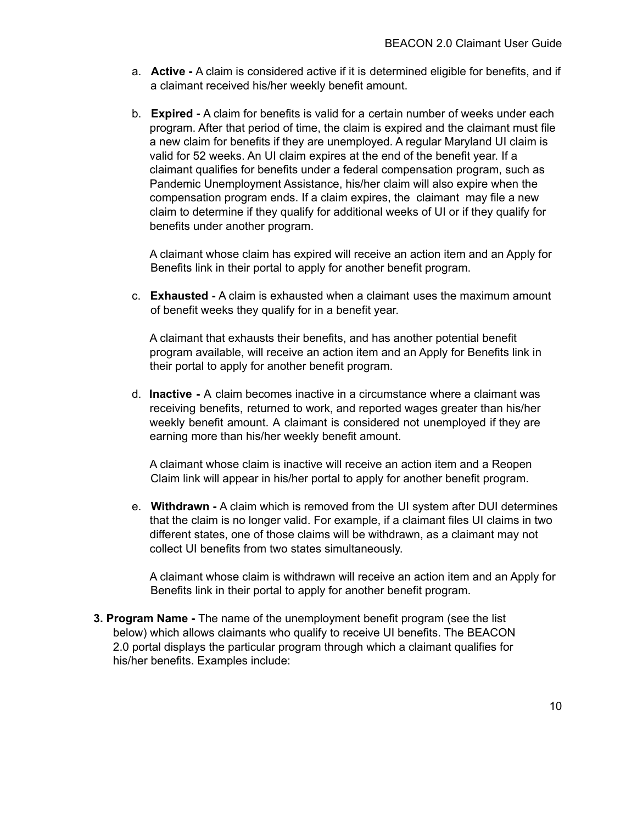- a. **Active -** A claim is considered active if it is determined eligible for benefits, and if a claimant received his/her weekly benefit amount.
- b. **Expired -** A claim for benefits is valid for a certain number of weeks under each program. After that period of time, the claim is expired and the claimant must file a new claim for benefits if they are unemployed. A regular Maryland UI claim is valid for 52 weeks. An UI claim expires at the end of the benefit year. If a claimant qualifies for benefits under a federal compensation program, such as Pandemic Unemployment Assistance, his/her claim will also expire when the compensation program ends. If a claim expires, the claimant may file a new claim to determine if they qualify for additional weeks of UI or if they qualify for benefits under another program.

A claimant whose claim has expired will receive an action item and an Apply for Benefits link in their portal to apply for another benefit program.

c. **Exhausted -** A claim is exhausted when a claimant uses the maximum amount of benefit weeks they qualify for in a benefit year.

A claimant that exhausts their benefits, and has another potential benefit program available, will receive an action item and an Apply for Benefits link in their portal to apply for another benefit program.

d. **Inactive -** A claim becomes inactive in a circumstance where a claimant was receiving benefits, returned to work, and reported wages greater than his/her weekly benefit amount. A claimant is considered not unemployed if they are earning more than his/her weekly benefit amount.

A claimant whose claim is inactive will receive an action item and a Reopen Claim link will appear in his/her portal to apply for another benefit program.

e. **Withdrawn -** A claim which is removed from the UI system after DUI determines that the claim is no longer valid. For example, if a claimant files UI claims in two different states, one of those claims will be withdrawn, as a claimant may not collect UI benefits from two states simultaneously.

A claimant whose claim is withdrawn will receive an action item and an Apply for Benefits link in their portal to apply for another benefit program.

**3. Program Name -** The name of the unemployment benefit program (see the list below) which allows claimants who qualify to receive UI benefits. The BEACON 2.0 portal displays the particular program through which a claimant qualifies for his/her benefits. Examples include: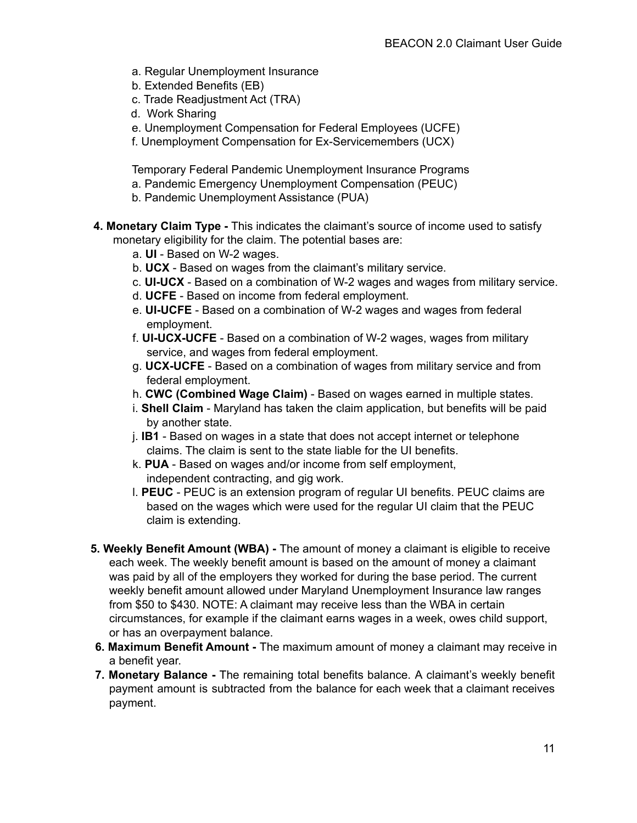- a. Regular Unemployment Insurance
- b. Extended Benefits (EB)
- c. Trade Readjustment Act (TRA)
- d. Work Sharing
- e. Unemployment Compensation for Federal Employees (UCFE)
- f. Unemployment Compensation for Ex-Servicemembers (UCX)

Temporary Federal Pandemic Unemployment Insurance Programs

- a. Pandemic Emergency Unemployment Compensation (PEUC)
- b. Pandemic Unemployment Assistance (PUA)
- **4. Monetary Claim Type -** This indicates the claimant's source of income used to satisfy monetary eligibility for the claim. The potential bases are:
	- a. **UI** Based on W-2 wages.
	- b. **UCX** Based on wages from the claimant's military service.
	- c. **UI-UCX** Based on a combination of W-2 wages and wages from military service.
	- d. **UCFE** Based on income from federal employment.
	- e. **UI-UCFE** Based on a combination of W-2 wages and wages from federal employment.
	- f. **UI-UCX-UCFE** Based on a combination of W-2 wages, wages from military service, and wages from federal employment.
	- g. **UCX-UCFE** Based on a combination of wages from military service and from federal employment.
	- h. **CWC (Combined Wage Claim)** Based on wages earned in multiple states.
	- i. **Shell Claim** Maryland has taken the claim application, but benefits will be paid by another state.
	- j. **IB1** Based on wages in a state that does not accept internet or telephone claims. The claim is sent to the state liable for the UI benefits.
	- k. **PUA** Based on wages and/or income from self employment, independent contracting, and gig work.
	- l. **PEUC** PEUC is an extension program of regular UI benefits. PEUC claims are based on the wages which were used for the regular UI claim that the PEUC claim is extending.
- **5. Weekly Benefit Amount (WBA) -** The amount of money a claimant is eligible to receive each week. The weekly benefit amount is based on the amount of money a claimant was paid by all of the employers they worked for during the base period. The current weekly benefit amount allowed under Maryland Unemployment Insurance law ranges from \$50 to \$430. NOTE: A claimant may receive less than the WBA in certain circumstances, for example if the claimant earns wages in a week, owes child support, or has an overpayment balance.
- **6. Maximum Benefit Amount -** The maximum amount of money a claimant may receive in a benefit year.
- **7. Monetary Balance -** The remaining total benefits balance. A claimant's weekly benefit payment amount is subtracted from the balance for each week that a claimant receives payment.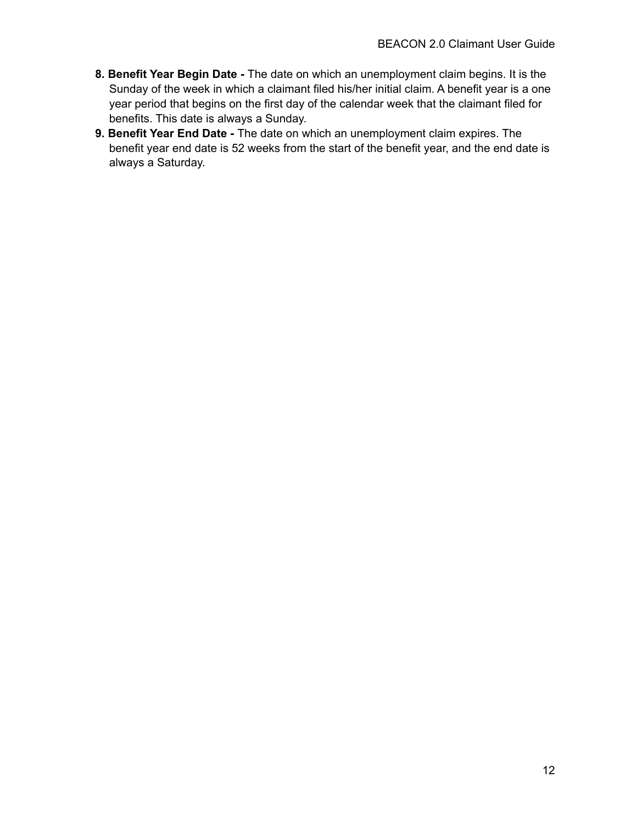- **8. Benefit Year Begin Date -** The date on which an unemployment claim begins. It is the Sunday of the week in which a claimant filed his/her initial claim. A benefit year is a one year period that begins on the first day of the calendar week that the claimant filed for benefits. This date is always a Sunday.
- **9. Benefit Year End Date -** The date on which an unemployment claim expires. The benefit year end date is 52 weeks from the start of the benefit year, and the end date is always a Saturday.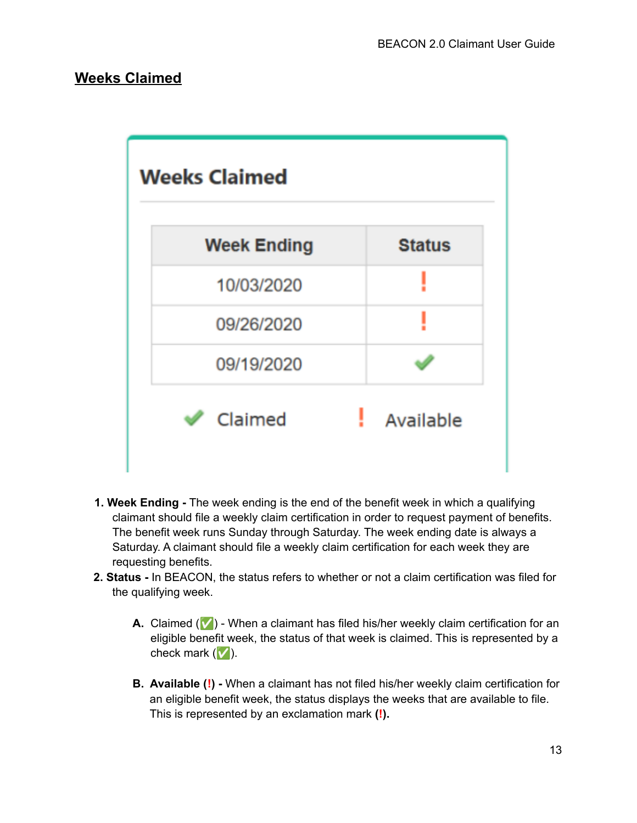### **Weeks Claimed**



- **1. Week Ending -** The week ending is the end of the benefit week in which a qualifying claimant should file a weekly claim certification in order to request payment of benefits. The benefit week runs Sunday through Saturday. The week ending date is always a Saturday. A claimant should file a weekly claim certification for each week they are requesting benefits.
- **2. Status -** In BEACON, the status refers to whether or not a claim certification was filed for the qualifying week.
	- **A.** Claimed ( $\vee$ ) When a claimant has filed his/her weekly claim certification for an eligible benefit week, the status of that week is claimed. This is represented by a check mark  $(\vee)$ .
	- **B. Available (!) -** When a claimant has not filed his/her weekly claim certification for an eligible benefit week, the status displays the weeks that are available to file. This is represented by an exclamation mark **(!).**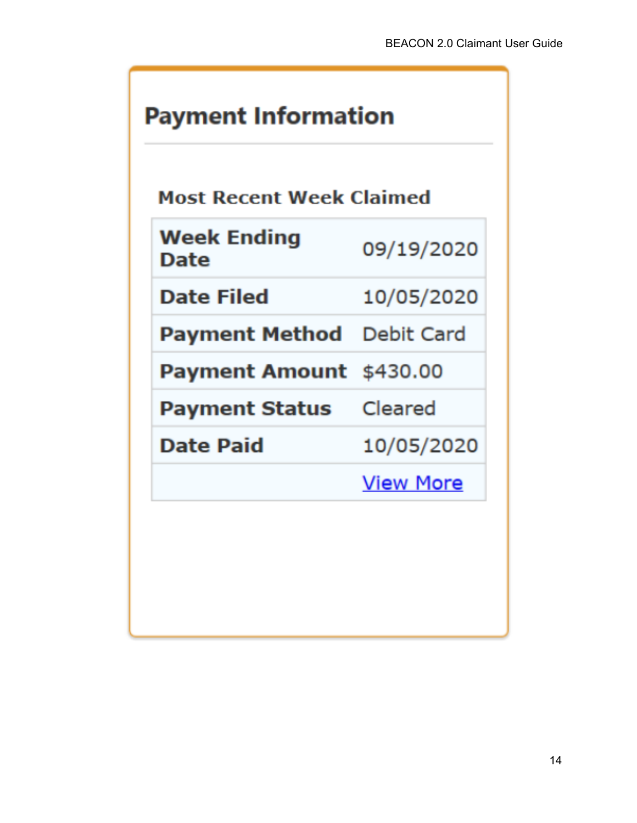# **Payment Information**

# **Most Recent Week Claimed**

| <b>Week Ending</b><br><b>Date</b> | 09/19/2020       |
|-----------------------------------|------------------|
| <b>Date Filed</b>                 | 10/05/2020       |
| Payment Method                    | Debit Card       |
| <b>Payment Amount</b> \$430.00    |                  |
| <b>Payment Status</b> Cleared     |                  |
| Date Paid                         | 10/05/2020       |
|                                   | <b>View More</b> |
|                                   |                  |
|                                   |                  |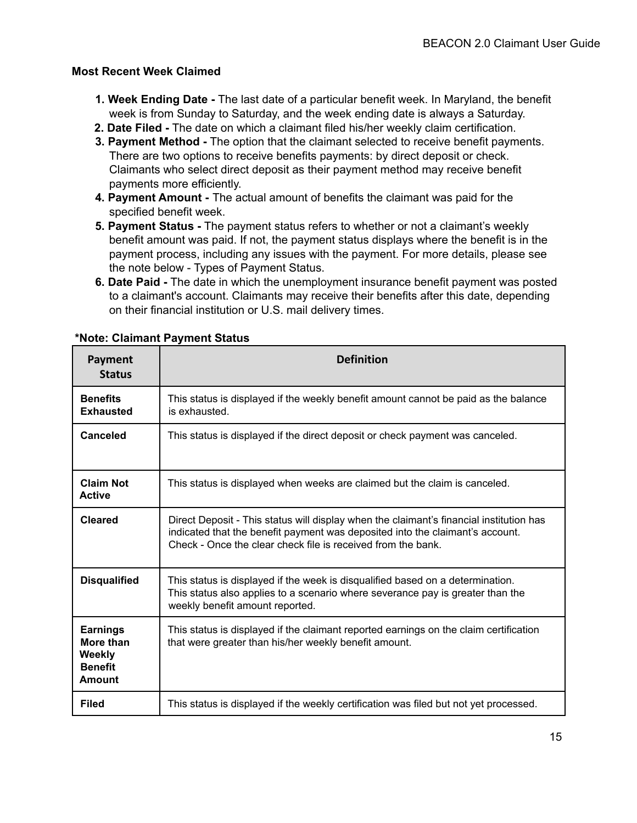#### **Most Recent Week Claimed**

- **1. Week Ending Date -** The last date of a particular benefit week. In Maryland, the benefit week is from Sunday to Saturday, and the week ending date is always a Saturday.
- **2. Date Filed -** The date on which a claimant filed his/her weekly claim certification.
- **3. Payment Method -** The option that the claimant selected to receive benefit payments. There are two options to receive benefits payments: by direct deposit or check. Claimants who select direct deposit as their payment method may receive benefit payments more efficiently.
- **4. Payment Amount -** The actual amount of benefits the claimant was paid for the specified benefit week.
- **5. Payment Status -** The payment status refers to whether or not a claimant's weekly benefit amount was paid. If not, the payment status displays where the benefit is in the payment process, including any issues with the payment. For more details, please see the note below - Types of Payment Status.
- **6. Date Paid -** The date in which the unemployment insurance benefit payment was posted to a claimant's account. Claimants may receive their benefits after this date, depending on their financial institution or U.S. mail delivery times.

| Payment<br><b>Status</b>                                                                                                                                                                                                   | <b>Definition</b>                                                                                                                                                                                                                        |  |  |  |  |
|----------------------------------------------------------------------------------------------------------------------------------------------------------------------------------------------------------------------------|------------------------------------------------------------------------------------------------------------------------------------------------------------------------------------------------------------------------------------------|--|--|--|--|
| <b>Benefits</b><br><b>Exhausted</b>                                                                                                                                                                                        | This status is displayed if the weekly benefit amount cannot be paid as the balance<br>is exhausted.                                                                                                                                     |  |  |  |  |
| <b>Canceled</b>                                                                                                                                                                                                            | This status is displayed if the direct deposit or check payment was canceled.                                                                                                                                                            |  |  |  |  |
| <b>Claim Not</b><br><b>Active</b>                                                                                                                                                                                          | This status is displayed when weeks are claimed but the claim is canceled.                                                                                                                                                               |  |  |  |  |
| <b>Cleared</b>                                                                                                                                                                                                             | Direct Deposit - This status will display when the claimant's financial institution has<br>indicated that the benefit payment was deposited into the claimant's account.<br>Check - Once the clear check file is received from the bank. |  |  |  |  |
| <b>Disqualified</b><br>This status is displayed if the week is disqualified based on a determination.<br>This status also applies to a scenario where severance pay is greater than the<br>weekly benefit amount reported. |                                                                                                                                                                                                                                          |  |  |  |  |
| <b>Earnings</b><br>More than<br><b>Weekly</b><br><b>Benefit</b><br><b>Amount</b>                                                                                                                                           | This status is displayed if the claimant reported earnings on the claim certification<br>that were greater than his/her weekly benefit amount.                                                                                           |  |  |  |  |
| <b>Filed</b>                                                                                                                                                                                                               | This status is displayed if the weekly certification was filed but not yet processed.                                                                                                                                                    |  |  |  |  |

#### **\*Note: Claimant Payment Status**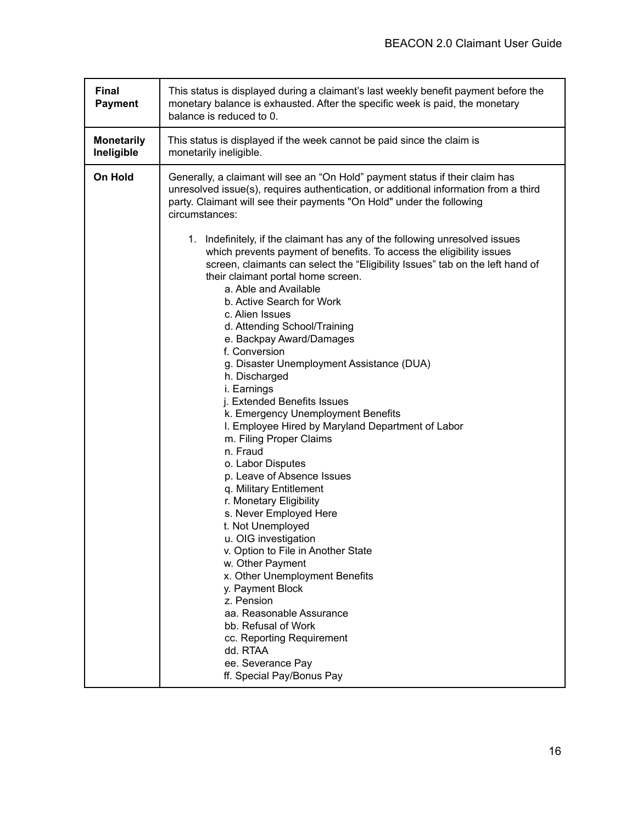| <b>Final</b><br><b>Payment</b>  | This status is displayed during a claimant's last weekly benefit payment before the<br>monetary balance is exhausted. After the specific week is paid, the monetary<br>balance is reduced to 0.                                                                                                                                                                                                                                                                                                                                                                                                                                                                                                                                                                                                                                                                                                                                                                                                                                                                                                               |
|---------------------------------|---------------------------------------------------------------------------------------------------------------------------------------------------------------------------------------------------------------------------------------------------------------------------------------------------------------------------------------------------------------------------------------------------------------------------------------------------------------------------------------------------------------------------------------------------------------------------------------------------------------------------------------------------------------------------------------------------------------------------------------------------------------------------------------------------------------------------------------------------------------------------------------------------------------------------------------------------------------------------------------------------------------------------------------------------------------------------------------------------------------|
| <b>Monetarily</b><br>Ineligible | This status is displayed if the week cannot be paid since the claim is<br>monetarily ineligible.                                                                                                                                                                                                                                                                                                                                                                                                                                                                                                                                                                                                                                                                                                                                                                                                                                                                                                                                                                                                              |
| On Hold                         | Generally, a claimant will see an "On Hold" payment status if their claim has<br>unresolved issue(s), requires authentication, or additional information from a third<br>party. Claimant will see their payments "On Hold" under the following<br>circumstances:                                                                                                                                                                                                                                                                                                                                                                                                                                                                                                                                                                                                                                                                                                                                                                                                                                              |
|                                 | 1. Indefinitely, if the claimant has any of the following unresolved issues<br>which prevents payment of benefits. To access the eligibility issues<br>screen, claimants can select the "Eligibility Issues" tab on the left hand of<br>their claimant portal home screen.<br>a. Able and Available<br>b. Active Search for Work<br>c. Alien Issues<br>d. Attending School/Training<br>e. Backpay Award/Damages<br>f. Conversion<br>g. Disaster Unemployment Assistance (DUA)<br>h. Discharged<br>i. Earnings<br>j. Extended Benefits Issues<br>k. Emergency Unemployment Benefits<br>I. Employee Hired by Maryland Department of Labor<br>m. Filing Proper Claims<br>n. Fraud<br>o. Labor Disputes<br>p. Leave of Absence Issues<br>q. Military Entitlement<br>r. Monetary Eligibility<br>s. Never Employed Here<br>t. Not Unemployed<br>u. OIG investigation<br>v. Option to File in Another State<br>w. Other Payment<br>x. Other Unemployment Benefits<br>y. Payment Block<br>z. Pension<br>aa. Reasonable Assurance<br>bb. Refusal of Work<br>cc. Reporting Requirement<br>dd. RTAA<br>ee. Severance Pay |
|                                 | ff. Special Pay/Bonus Pay                                                                                                                                                                                                                                                                                                                                                                                                                                                                                                                                                                                                                                                                                                                                                                                                                                                                                                                                                                                                                                                                                     |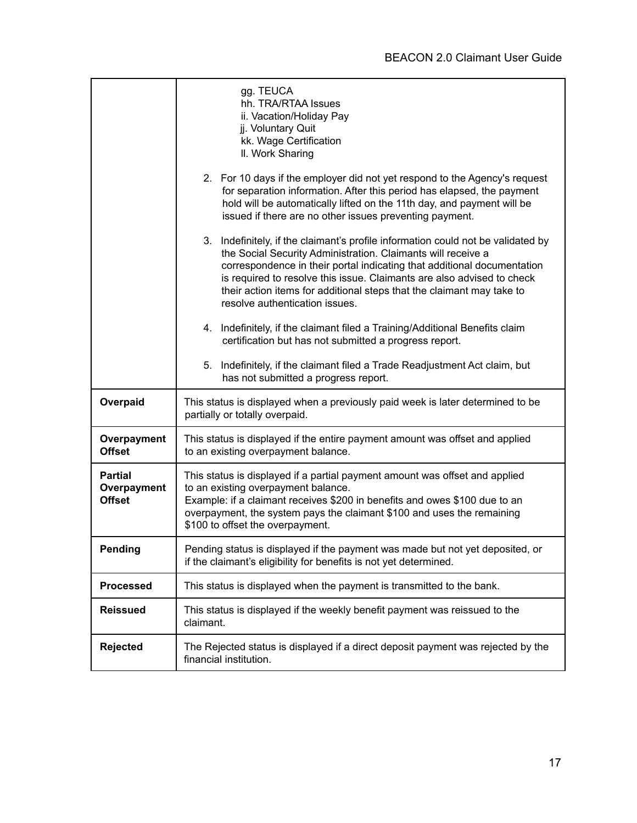|                                                | gg. TEUCA<br>hh. TRA/RTAA Issues<br>ii. Vacation/Holiday Pay<br>jj. Voluntary Quit<br>kk. Wage Certification<br>II. Work Sharing<br>2. For 10 days if the employer did not yet respond to the Agency's request<br>for separation information. After this period has elapsed, the payment<br>hold will be automatically lifted on the 11th day, and payment will be<br>issued if there are no other issues preventing payment.<br>Indefinitely, if the claimant's profile information could not be validated by<br>3.<br>the Social Security Administration. Claimants will receive a |
|------------------------------------------------|--------------------------------------------------------------------------------------------------------------------------------------------------------------------------------------------------------------------------------------------------------------------------------------------------------------------------------------------------------------------------------------------------------------------------------------------------------------------------------------------------------------------------------------------------------------------------------------|
|                                                | correspondence in their portal indicating that additional documentation<br>is required to resolve this issue. Claimants are also advised to check<br>their action items for additional steps that the claimant may take to<br>resolve authentication issues.                                                                                                                                                                                                                                                                                                                         |
|                                                | 4. Indefinitely, if the claimant filed a Training/Additional Benefits claim<br>certification but has not submitted a progress report.                                                                                                                                                                                                                                                                                                                                                                                                                                                |
|                                                | Indefinitely, if the claimant filed a Trade Readjustment Act claim, but<br>5.<br>has not submitted a progress report.                                                                                                                                                                                                                                                                                                                                                                                                                                                                |
| Overpaid                                       | This status is displayed when a previously paid week is later determined to be<br>partially or totally overpaid.                                                                                                                                                                                                                                                                                                                                                                                                                                                                     |
| Overpayment<br><b>Offset</b>                   | This status is displayed if the entire payment amount was offset and applied<br>to an existing overpayment balance.                                                                                                                                                                                                                                                                                                                                                                                                                                                                  |
| <b>Partial</b><br>Overpayment<br><b>Offset</b> | This status is displayed if a partial payment amount was offset and applied<br>to an existing overpayment balance.<br>Example: if a claimant receives \$200 in benefits and owes \$100 due to an<br>overpayment, the system pays the claimant \$100 and uses the remaining<br>\$100 to offset the overpayment.                                                                                                                                                                                                                                                                       |
| <b>Pending</b>                                 | Pending status is displayed if the payment was made but not yet deposited, or<br>if the claimant's eligibility for benefits is not yet determined.                                                                                                                                                                                                                                                                                                                                                                                                                                   |
| <b>Processed</b>                               | This status is displayed when the payment is transmitted to the bank.                                                                                                                                                                                                                                                                                                                                                                                                                                                                                                                |
| <b>Reissued</b>                                | This status is displayed if the weekly benefit payment was reissued to the<br>claimant.                                                                                                                                                                                                                                                                                                                                                                                                                                                                                              |
| Rejected                                       | The Rejected status is displayed if a direct deposit payment was rejected by the<br>financial institution.                                                                                                                                                                                                                                                                                                                                                                                                                                                                           |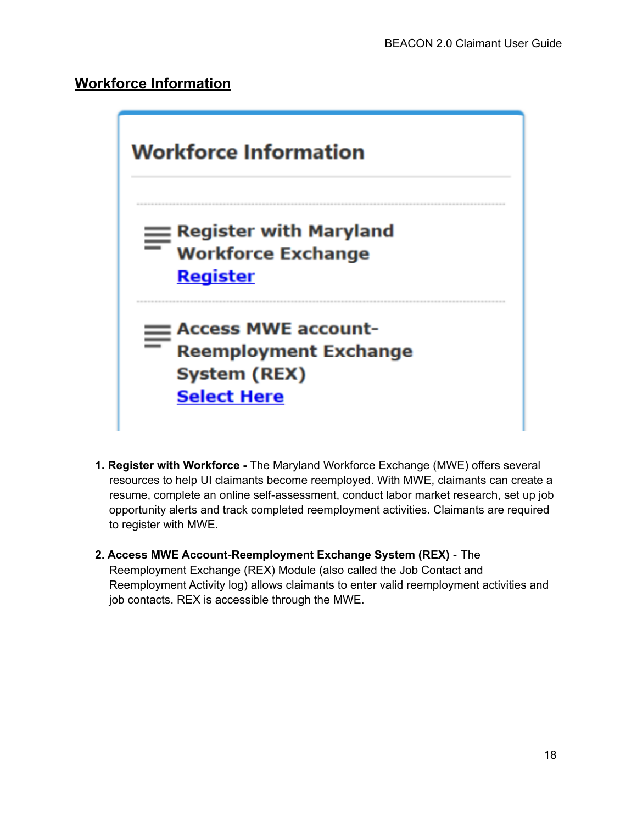## **Workforce Information**



- **1. Register with Workforce -** The Maryland Workforce Exchange (MWE) offers several resources to help UI claimants become reemployed. With MWE, claimants can create a resume, complete an online self-assessment, conduct labor market research, set up job opportunity alerts and track completed reemployment activities. Claimants are required to register with MWE.
- **2. Access MWE Account-Reemployment Exchange System (REX) -** The Reemployment Exchange (REX) Module (also called the Job Contact and Reemployment Activity log) allows claimants to enter valid reemployment activities and job contacts. REX is accessible through the MWE.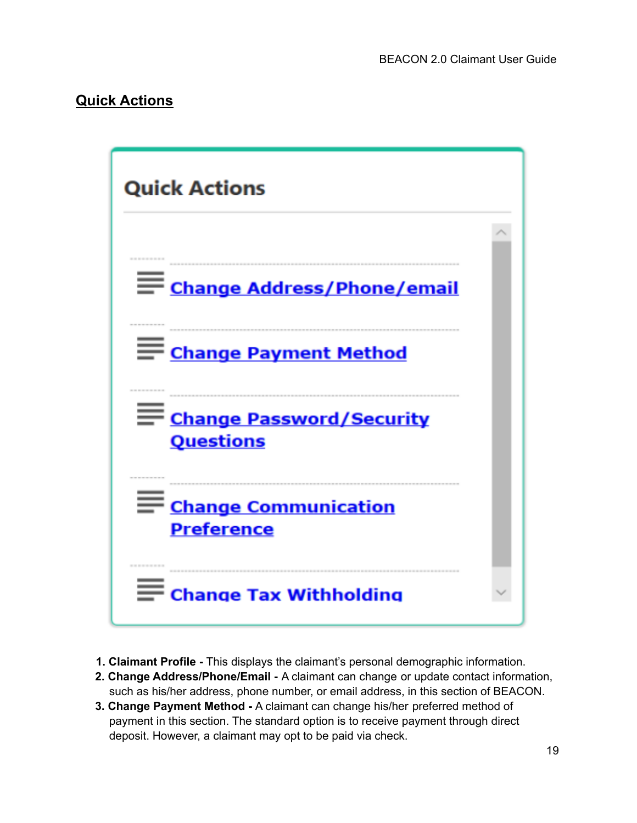## **Quick Actions**



- **1. Claimant Profile -** This displays the claimant's personal demographic information.
- **2. Change Address/Phone/Email -** A claimant can change or update contact information, such as his/her address, phone number, or email address, in this section of BEACON.
- **3. Change Payment Method -** A claimant can change his/her preferred method of payment in this section. The standard option is to receive payment through direct deposit. However, a claimant may opt to be paid via check.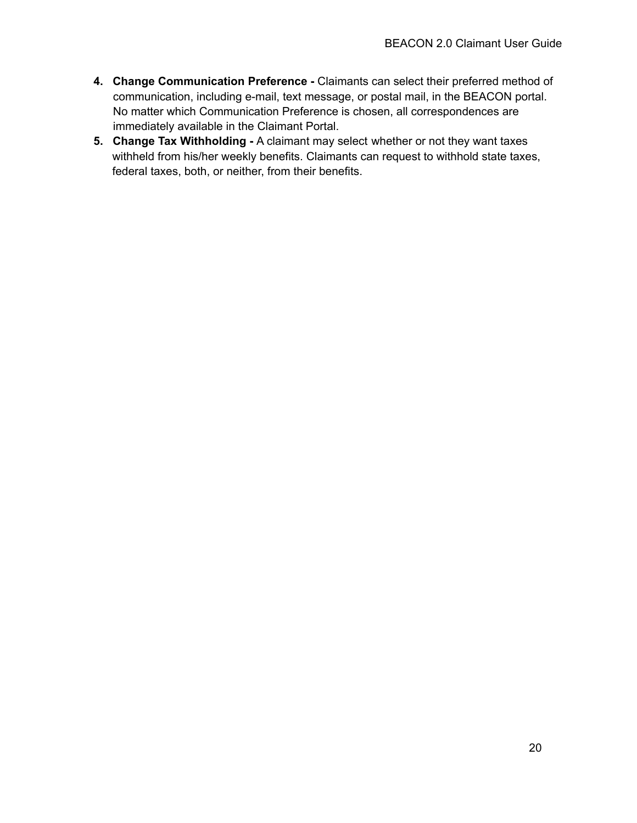- **4. Change Communication Preference -** Claimants can select their preferred method of communication, including e-mail, text message, or postal mail, in the BEACON portal. No matter which Communication Preference is chosen, all correspondences are immediately available in the Claimant Portal.
- **5. Change Tax Withholding -** A claimant may select whether or not they want taxes withheld from his/her weekly benefits. Claimants can request to withhold state taxes, federal taxes, both, or neither, from their benefits.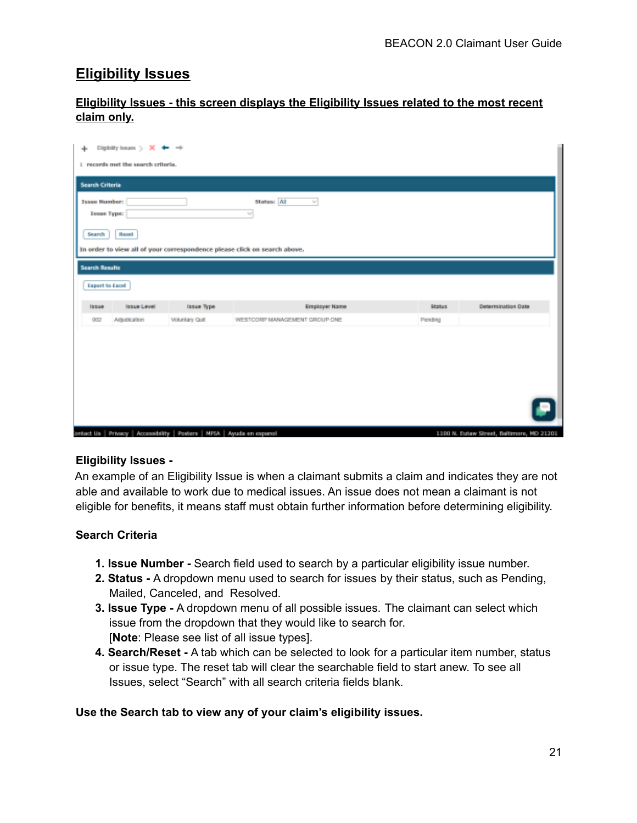## **Eligibility Issues**

| <b>Eligibility Issues - this screen displays the Eligibility Issues related to the most recent</b> |  |  |  |  |
|----------------------------------------------------------------------------------------------------|--|--|--|--|
| claim only.                                                                                        |  |  |  |  |

| Eighthy haum $\rightarrow$ X $\leftarrow$ $\rightarrow$<br>÷<br>1 records met the search criteria.                                                                   |                                     |                                                |                          |                           |
|----------------------------------------------------------------------------------------------------------------------------------------------------------------------|-------------------------------------|------------------------------------------------|--------------------------|---------------------------|
| <b>Search Criteria</b><br><b>Issue Number:</b><br><b>Issue Type:</b><br>Search<br>Reset<br>In order to view all of your correspondence please click on search above. |                                     | Status: All<br>귝<br>w                          |                          |                           |
| <b>Search Results</b>                                                                                                                                                |                                     |                                                |                          |                           |
| <b>Export to Excel</b>                                                                                                                                               |                                     |                                                |                          |                           |
| <b>Issue Level</b><br><b>Issue</b><br>Adjudication<br>002                                                                                                            | <b>Issue Type</b><br>Volunlary Quit | Employer Name<br>WESTCORP MANAGEMENT GROUP ONE | <b>Status</b><br>Pending | <b>Determination Date</b> |
|                                                                                                                                                                      |                                     |                                                |                          |                           |
|                                                                                                                                                                      |                                     |                                                |                          |                           |
|                                                                                                                                                                      |                                     |                                                |                          |                           |
|                                                                                                                                                                      |                                     |                                                |                          |                           |

#### **Eligibility Issues -**

An example of an Eligibility Issue is when a claimant submits a claim and indicates they are not able and available to work due to medical issues. An issue does not mean a claimant is not eligible for benefits, it means staff must obtain further information before determining eligibility.

#### **Search Criteria**

- **1. Issue Number -** Search field used to search by a particular eligibility issue number.
- **2. Status -** A dropdown menu used to search for issues by their status, such as Pending, Mailed, Canceled, and Resolved.
- **3. Issue Type -** A dropdown menu of all possible issues. The claimant can select which issue from the dropdown that they would like to search for. [**Note**: Please see list of all issue types].
- **4. Search/Reset -** A tab which can be selected to look for a particular item number, status or issue type. The reset tab will clear the searchable field to start anew. To see all Issues, select "Search" with all search criteria fields blank.

#### **Use the Search tab to view any of your claim's eligibility issues.**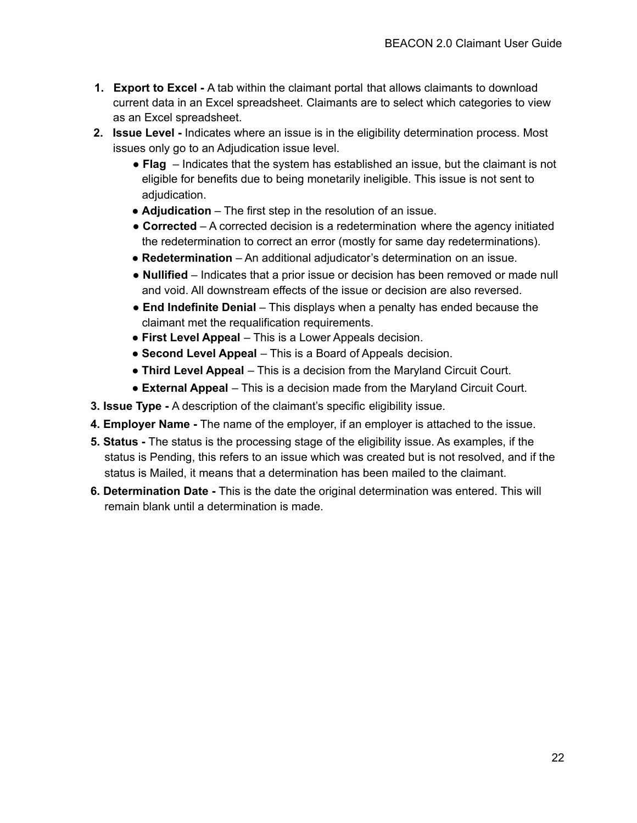- **1. Export to Excel -** A tab within the claimant portal that allows claimants to download current data in an Excel spreadsheet. Claimants are to select which categories to view as an Excel spreadsheet.
- **2. Issue Level -** Indicates where an issue is in the eligibility determination process. Most issues only go to an Adjudication issue level.
	- **Flag** Indicates that the system has established an issue, but the claimant is not eligible for benefits due to being monetarily ineligible. This issue is not sent to adjudication.
	- **Adjudication** The first step in the resolution of an issue.
	- **Corrected** A corrected decision is a redetermination where the agency initiated the redetermination to correct an error (mostly for same day redeterminations).
	- **Redetermination** An additional adjudicator's determination on an issue.
	- **Nullified** Indicates that a prior issue or decision has been removed or made null and void. All downstream effects of the issue or decision are also reversed.
	- **End Indefinite Denial** This displays when a penalty has ended because the claimant met the requalification requirements.
	- **First Level Appeal** This is a Lower Appeals decision.
	- **Second Level Appeal** This is a Board of Appeals decision.
	- **Third Level Appeal** This is a decision from the Maryland Circuit Court.
	- **External Appeal** This is a decision made from the Maryland Circuit Court.
- **3. Issue Type -** A description of the claimant's specific eligibility issue.
- **4. Employer Name -** The name of the employer, if an employer is attached to the issue.
- **5. Status -** The status is the processing stage of the eligibility issue. As examples, if the status is Pending, this refers to an issue which was created but is not resolved, and if the status is Mailed, it means that a determination has been mailed to the claimant.
- **6. Determination Date -** This is the date the original determination was entered. This will remain blank until a determination is made.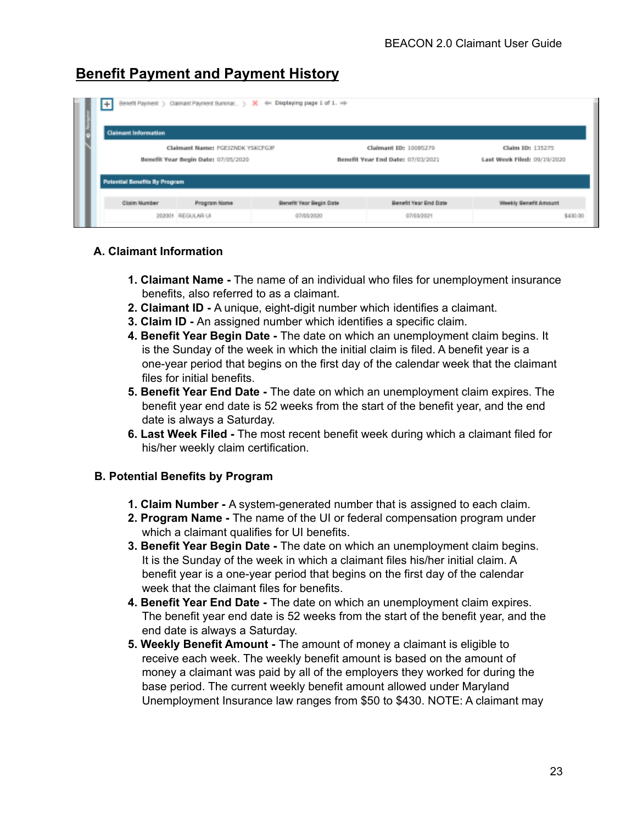## **Benefit Payment and Payment History**

| $+$                                  |                                                                         | Benefit Payment > Claimant Payment Summar > X + Displaying page 1 of 1. + |                                                            |                                                 |
|--------------------------------------|-------------------------------------------------------------------------|---------------------------------------------------------------------------|------------------------------------------------------------|-------------------------------------------------|
| <b>Claimant Information</b>          |                                                                         |                                                                           |                                                            |                                                 |
|                                      | Claimant Name: FGEIZNDK YSKCFGJP<br>Benefit Year Begin Date: 07/05/2020 |                                                                           | Claimant ID: 10085279<br>Benefit Year End Date: 07/03/2021 | Claim ID: 135275<br>Last Week Filed: 09/19/2020 |
| <b>Potential Benefits By Program</b> |                                                                         |                                                                           |                                                            |                                                 |
| Claim Number                         | Program Name                                                            | Benefit Year Begin Date                                                   | Benefit Year End Date                                      | Weekly Benefit Amount                           |
|                                      | 202001 REGULAR UI                                                       | 07/05/2020                                                                | 07/03/2021                                                 |                                                 |

#### **A. Claimant Information**

- **1. Claimant Name -** The name of an individual who files for unemployment insurance benefits, also referred to as a claimant.
- **2. Claimant ID -** A unique, eight-digit number which identifies a claimant.
- **3. Claim ID -** An assigned number which identifies a specific claim.
- **4. Benefit Year Begin Date -** The date on which an unemployment claim begins. It is the Sunday of the week in which the initial claim is filed. A benefit year is a one-year period that begins on the first day of the calendar week that the claimant files for initial benefits.
- **5. Benefit Year End Date -** The date on which an unemployment claim expires. The benefit year end date is 52 weeks from the start of the benefit year, and the end date is always a Saturday.
- **6. Last Week Filed -** The most recent benefit week during which a claimant filed for his/her weekly claim certification.

#### **B. Potential Benefits by Program**

- **1. Claim Number -** A system-generated number that is assigned to each claim.
- **2. Program Name -** The name of the UI or federal compensation program under which a claimant qualifies for UI benefits.
- **3. Benefit Year Begin Date -** The date on which an unemployment claim begins. It is the Sunday of the week in which a claimant files his/her initial claim. A benefit year is a one-year period that begins on the first day of the calendar week that the claimant files for benefits.
- **4. Benefit Year End Date -** The date on which an unemployment claim expires. The benefit year end date is 52 weeks from the start of the benefit year, and the end date is always a Saturday.
- **5. Weekly Benefit Amount -** The amount of money a claimant is eligible to receive each week. The weekly benefit amount is based on the amount of money a claimant was paid by all of the employers they worked for during the base period. The current weekly benefit amount allowed under Maryland Unemployment Insurance law ranges from \$50 to \$430. NOTE: A claimant may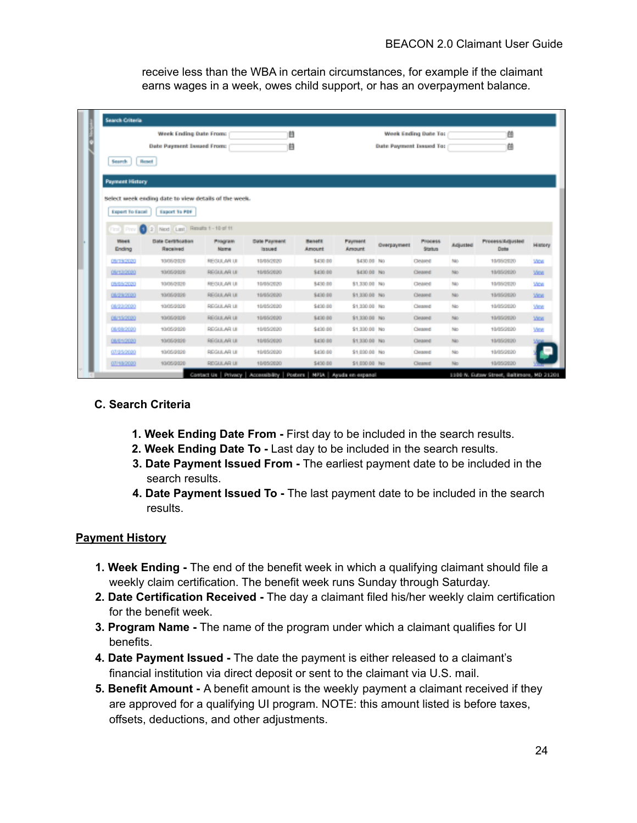receive less than the WBA in certain circumstances, for example if the claimant earns wages in a week, owes child support, or has an overpayment balance.

|                        |                                                      |                 | m                      |                          |                                 |                         |                    |          |                          |                                                                                                                  |
|------------------------|------------------------------------------------------|-----------------|------------------------|--------------------------|---------------------------------|-------------------------|--------------------|----------|--------------------------|------------------------------------------------------------------------------------------------------------------|
|                        | Week Ending Date From:                               |                 | Week Ending Date To:   |                          |                                 |                         | 値                  |          |                          |                                                                                                                  |
|                        | <b>Date Payment Issued From:</b>                     |                 | 自                      |                          |                                 | Date Payment Issued To: |                    |          | 値                        |                                                                                                                  |
| <b>Search</b>          | Report                                               |                 |                        |                          |                                 |                         |                    |          |                          |                                                                                                                  |
|                        |                                                      |                 |                        |                          |                                 |                         |                    |          |                          |                                                                                                                  |
| <b>Payment History</b> |                                                      |                 |                        |                          |                                 |                         |                    |          |                          |                                                                                                                  |
|                        | Select week ending date to view details of the week. |                 |                        |                          |                                 |                         |                    |          |                          |                                                                                                                  |
|                        |                                                      |                 |                        |                          |                                 |                         |                    |          |                          |                                                                                                                  |
| Export To Eacel        | Export To PDF                                        |                 |                        |                          |                                 |                         |                    |          |                          |                                                                                                                  |
|                        | 2 Nod Last Results 1 - 10 of 11                      |                 |                        |                          |                                 |                         |                    |          |                          |                                                                                                                  |
| First Prev (1)         |                                                      |                 |                        |                          |                                 |                         |                    |          |                          |                                                                                                                  |
| <b>Week</b>            |                                                      |                 |                        |                          |                                 |                         |                    |          |                          |                                                                                                                  |
| Ending                 | Date Certification<br>Received                       | Program<br>Name | Date Payment<br>issued | <b>Banafit</b><br>Amount | <b>Payment</b><br><b>Amount</b> | <b>Overpayment</b>      | Process.<br>Status | Adjusted | Process/Adjusted<br>Date |                                                                                                                  |
| 05/19/2020             | 10/05/3029                                           | REGULAR UI      | 10/05/2020             | \$430.00                 | \$430.00 No.                    |                         | Cleaned            | Mo.      | 10/35/2020               |                                                                                                                  |
| 09/12/2020             | 10/05/2020                                           | REGULAR LE      | 10/05/2020             | Sabib po                 | \$430.00 No.                    |                         | Circannel          | Mo.      | 10/05/2020               |                                                                                                                  |
| 09/05/2020             | 10/05/2020                                           | REGULAR UI      | 10/05/2020             | \$430.00                 | \$1,330.00 No.                  |                         | Cleaned            | Mo.      | 10/05/2820               |                                                                                                                  |
| 08/29/2020             | 10/05/2020                                           | REGULAR UI      | 10/05/2020             | S430.00                  | \$1,330.00 No.                  |                         | Cleaned            | No       | 10/05/2020               |                                                                                                                  |
| 08/22/2020             | 10/05/2020                                           | REGULAR UI      | 10/05/2020             | \$430.00                 | \$1,330.00 No                   |                         | <b>Cleaned</b>     | No       | 18/05/2020               |                                                                                                                  |
| 08/15/2020             | 10/05/3028                                           | REGULAR UI      | 10/05/2020             | \$430.00                 | \$1,330.00 No.                  |                         | Cinamat            | Mo.      | 10/05/2020               |                                                                                                                  |
| 08/08/2020             | 10/05/2020                                           | REGULAR UI      | 10/05/2020             | \$430.00                 | \$1,330.00 No.                  |                         | <b>Cleaned</b>     | No       | 18/05/2020               |                                                                                                                  |
| 08/01/2020             | state/abla                                           | REGULAR LE      | 10/05/2020             | Sizio po                 | \$1,330.00 No.                  |                         | Circulad           | Mo.      | 10/05/2020               |                                                                                                                  |
| 07/25/2020             | 10/05/3020                                           | REGULAR UI      | 10/05/2020             | \$430.00                 | \$1,030.00 No.                  |                         | Cleaned            | No       | 18/05/2020               | History<br><b>Vice</b><br><b>Mine</b><br><b>Vice</b><br><b>Vice</b><br><b>Vine</b><br><b>Vice</b><br><b>View</b> |

#### **C. Search Criteria**

- **1. Week Ending Date From -** First day to be included in the search results.
- **2. Week Ending Date To -** Last day to be included in the search results.
- **3. Date Payment Issued From -** The earliest payment date to be included in the search results.
- **4. Date Payment Issued To -** The last payment date to be included in the search results.

#### **Payment History**

- **1. Week Ending -** The end of the benefit week in which a qualifying claimant should file a weekly claim certification. The benefit week runs Sunday through Saturday.
- **2. Date Certification Received -** The day a claimant filed his/her weekly claim certification for the benefit week.
- **3. Program Name -** The name of the program under which a claimant qualifies for UI benefits.
- **4. Date Payment Issued -** The date the payment is either released to a claimant's financial institution via direct deposit or sent to the claimant via U.S. mail.
- **5. Benefit Amount -** A benefit amount is the weekly payment a claimant received if they are approved for a qualifying UI program. NOTE: this amount listed is before taxes, offsets, deductions, and other adjustments.